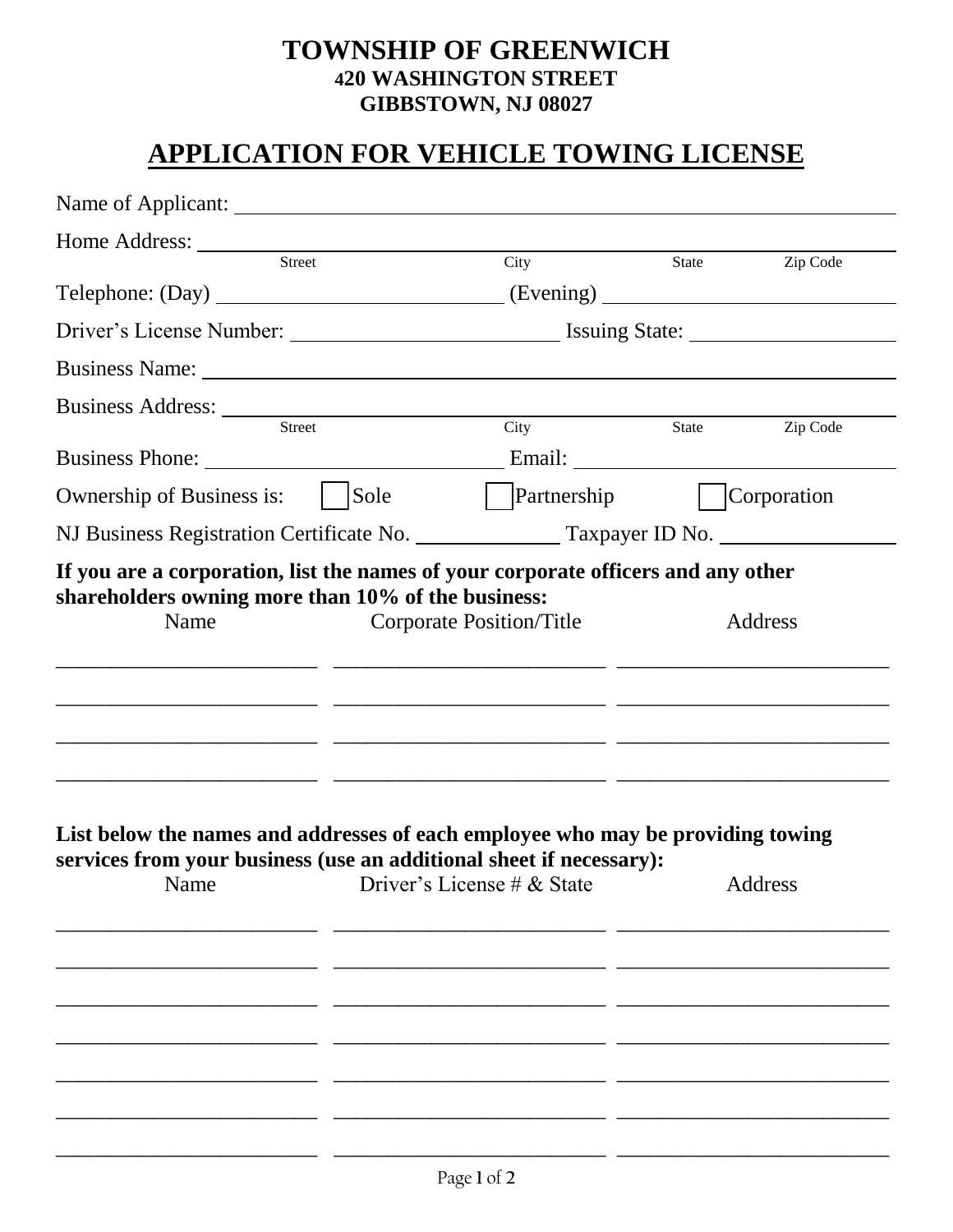## **TOWNSHIP OF GREENWICH 420 WASHINGTON STREET GIBBSTOWN, NJ 08027**

## **APPLICATION FOR VEHICLE TOWING LICENSE**

| Home Address: <u>Street</u>                                                                                                                                    |        |                                                                                                            |                            |                |
|----------------------------------------------------------------------------------------------------------------------------------------------------------------|--------|------------------------------------------------------------------------------------------------------------|----------------------------|----------------|
|                                                                                                                                                                |        | City                                                                                                       | State <b>Leap Zip Code</b> |                |
| Telephone: (Day) _______________________________(Evening) _______________________                                                                              |        |                                                                                                            |                            |                |
|                                                                                                                                                                |        |                                                                                                            |                            |                |
|                                                                                                                                                                |        |                                                                                                            |                            |                |
|                                                                                                                                                                |        |                                                                                                            |                            |                |
|                                                                                                                                                                | Street | City                                                                                                       |                            | State Zip Code |
| Ownership of Business is:                                                                                                                                      | Sole   | Partnership    Corporation                                                                                 |                            |                |
| NJ Business Registration Certificate No. ________________ Taxpayer ID No. _____________                                                                        |        |                                                                                                            |                            |                |
|                                                                                                                                                                |        |                                                                                                            |                            |                |
| List below the names and addresses of each employee who may be providing towing<br>services from your business (use an additional sheet if necessary):<br>Name |        | <u> 2000 - Jan Barat, prima din Amerikaansk politik (* 1952)</u><br>Driver's License $\# \&$ State Address |                            |                |
|                                                                                                                                                                |        |                                                                                                            |                            |                |